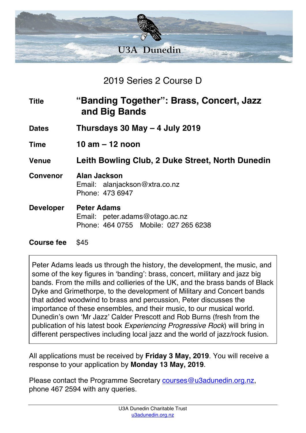

2019 Series 2 Course D

| <b>Title</b>      | "Banding Together": Brass, Concert, Jazz<br>and Big Bands                                    |
|-------------------|----------------------------------------------------------------------------------------------|
| <b>Dates</b>      | Thursdays 30 May $-$ 4 July 2019                                                             |
| <b>Time</b>       | 10 am $-$ 12 noon                                                                            |
| <b>Venue</b>      | Leith Bowling Club, 2 Duke Street, North Dunedin                                             |
| <b>Convenor</b>   | Alan Jackson<br>Email: alanjackson@xtra.co.nz<br>Phone: 473 6947                             |
| <b>Developer</b>  | <b>Peter Adams</b><br>Email: peter.adams@otago.ac.nz<br>Phone: 464 0755 Mobile: 027 265 6238 |
| <b>Course fee</b> | \$45                                                                                         |

Peter Adams leads us through the history, the development, the music, and some of the key figures in 'banding': brass, concert, military and jazz big bands. From the mills and collieries of the UK, and the brass bands of Black Dyke and Grimethorpe, to the development of Military and Concert bands that added woodwind to brass and percussion, Peter discusses the importance of these ensembles, and their music, to our musical world. Dunedin's own 'Mr Jazz' Calder Prescott and Rob Burns (fresh from the publication of his latest book *Experiencing Progressive Rock*) will bring in different perspectives including local jazz and the world of jazz/rock fusion.

All applications must be received by **Friday 3 May, 2019**. You will receive a response to your application by **Monday 13 May, 2019**.

Please contact the Programme Secretary courses@u3adunedin.org.nz, phone 467 2594 with any queries.